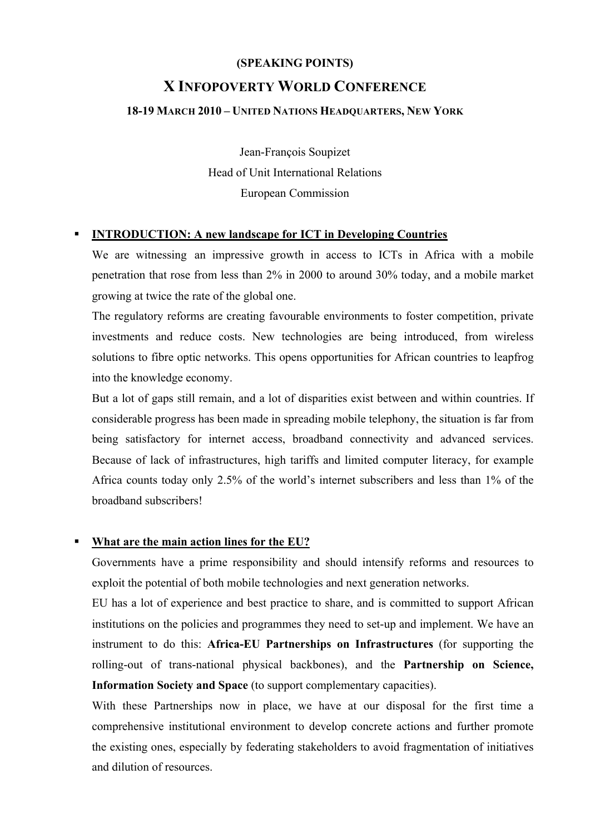### **(SPEAKING POINTS)**

# **X INFOPOVERTY WORLD CONFERENCE**

### **18-19 MARCH 2010 – UNITED NATIONS HEADQUARTERS, NEW YORK**

Jean-François Soupizet Head of Unit International Relations European Commission

### **INTRODUCTION: A new landscape for ICT in Developing Countries**

We are witnessing an impressive growth in access to ICTs in Africa with a mobile penetration that rose from less than 2% in 2000 to around 30% today, and a mobile market growing at twice the rate of the global one.

 The regulatory reforms are creating favourable environments to foster competition, private investments and reduce costs. New technologies are being introduced, from wireless solutions to fibre optic networks. This opens opportunities for African countries to leapfrog into the knowledge economy.

But a lot of gaps still remain, and a lot of disparities exist between and within countries. If considerable progress has been made in spreading mobile telephony, the situation is far from being satisfactory for internet access, broadband connectivity and advanced services. Because of lack of infrastructures, high tariffs and limited computer literacy, for example Africa counts today only 2.5% of the world's internet subscribers and less than 1% of the broadband subscribers!

# **What are the main action lines for the EU?**

Governments have a prime responsibility and should intensify reforms and resources to exploit the potential of both mobile technologies and next generation networks.

 EU has a lot of experience and best practice to share, and is committed to support African institutions on the policies and programmes they need to set-up and implement. We have an instrument to do this: **Africa-EU Partnerships on Infrastructures** (for supporting the rolling-out of trans-national physical backbones), and the **Partnership on Science, Information Society and Space** (to support complementary capacities).

With these Partnerships now in place, we have at our disposal for the first time a comprehensive institutional environment to develop concrete actions and further promote the existing ones, especially by federating stakeholders to avoid fragmentation of initiatives and dilution of resources.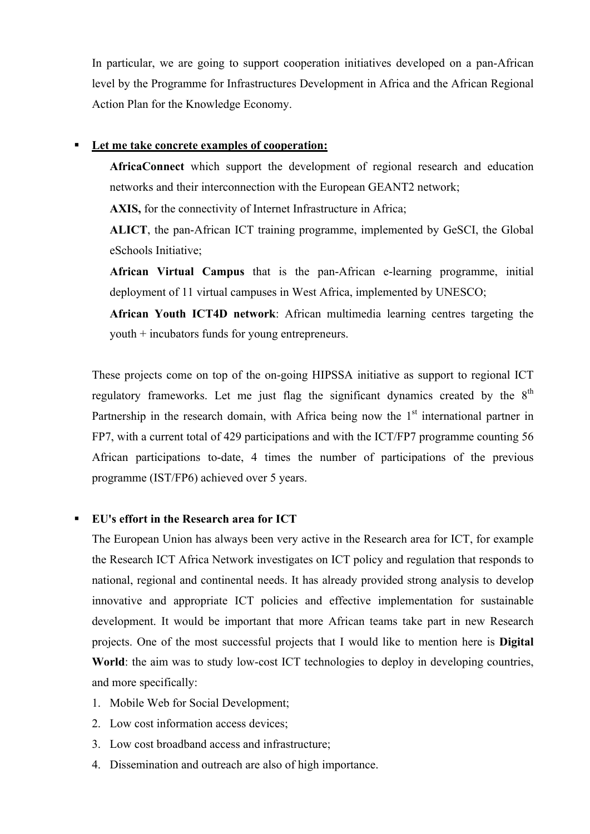In particular, we are going to support cooperation initiatives developed on a pan-African level by the Programme for Infrastructures Development in Africa and the African Regional Action Plan for the Knowledge Economy.

#### **Let me take concrete examples of cooperation:**

 **AfricaConnect** which support the development of regional research and education networks and their interconnection with the European GEANT2 network;

**AXIS,** for the connectivity of Internet Infrastructure in Africa;

 **ALICT**, the pan-African ICT training programme, implemented by GeSCI, the Global eSchools Initiative;

 **African Virtual Campus** that is the pan-African e-learning programme, initial deployment of 11 virtual campuses in West Africa, implemented by UNESCO;

 **African Youth ICT4D network**: African multimedia learning centres targeting the youth + incubators funds for young entrepreneurs.

These projects come on top of the on-going HIPSSA initiative as support to regional ICT regulatory frameworks. Let me just flag the significant dynamics created by the  $8<sup>th</sup>$ Partnership in the research domain, with Africa being now the  $1<sup>st</sup>$  international partner in FP7, with a current total of 429 participations and with the ICT/FP7 programme counting 56 African participations to-date, 4 times the number of participations of the previous programme (IST/FP6) achieved over 5 years.

#### **EU's effort in the Research area for ICT**

The European Union has always been very active in the Research area for ICT, for example the Research ICT Africa Network investigates on ICT policy and regulation that responds to national, regional and continental needs. It has already provided strong analysis to develop innovative and appropriate ICT policies and effective implementation for sustainable development. It would be important that more African teams take part in new Research projects. One of the most successful projects that I would like to mention here is **Digital World**: the aim was to study low-cost ICT technologies to deploy in developing countries, and more specifically:

- 1. Mobile Web for Social Development;
- 2. Low cost information access devices;
- 3. Low cost broadband access and infrastructure;
- 4. Dissemination and outreach are also of high importance.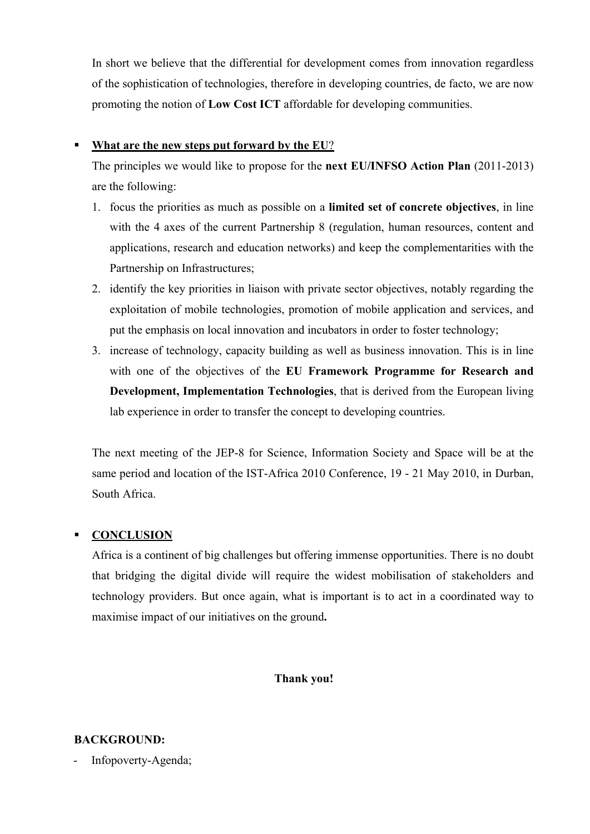In short we believe that the differential for development comes from innovation regardless of the sophistication of technologies, therefore in developing countries, de facto, we are now promoting the notion of **Low Cost ICT** affordable for developing communities.

# **What are the new steps put forward by the EU**?

The principles we would like to propose for the **next EU/INFSO Action Plan** (2011-2013) are the following:

- 1. focus the priorities as much as possible on a **limited set of concrete objectives**, in line with the 4 axes of the current Partnership 8 (regulation, human resources, content and applications, research and education networks) and keep the complementarities with the Partnership on Infrastructures;
- 2. identify the key priorities in liaison with private sector objectives, notably regarding the exploitation of mobile technologies, promotion of mobile application and services, and put the emphasis on local innovation and incubators in order to foster technology;
- 3. increase of technology, capacity building as well as business innovation. This is in line with one of the objectives of the **EU Framework Programme for Research and Development, Implementation Technologies**, that is derived from the European living lab experience in order to transfer the concept to developing countries.

The next meeting of the JEP-8 for Science, Information Society and Space will be at the same period and location of the IST-Africa 2010 Conference, 19 - 21 May 2010, in Durban, South Africa.

# **CONCLUSION**

Africa is a continent of big challenges but offering immense opportunities. There is no doubt that bridging the digital divide will require the widest mobilisation of stakeholders and technology providers. But once again, what is important is to act in a coordinated way to maximise impact of our initiatives on the ground**.** 

# **Thank you!**

# **BACKGROUND:**

Infopoverty-Agenda;